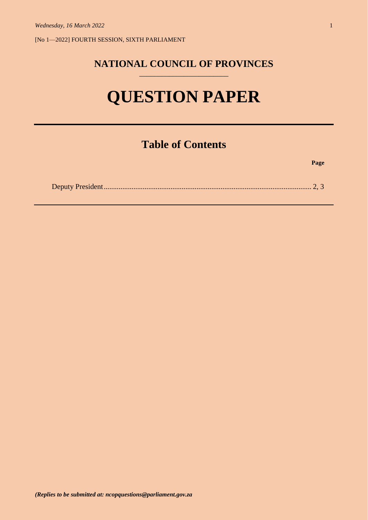[No 1—2022] FOURTH SESSION, SIXTH PARLIAMENT

## **NATIONAL COUNCIL OF PROVINCES** \_\_\_\_\_\_\_\_\_\_\_\_\_\_\_\_\_\_\_\_\_\_\_\_

# **QUESTION PAPER**

# **Table of Contents**

**Page**

|--|--|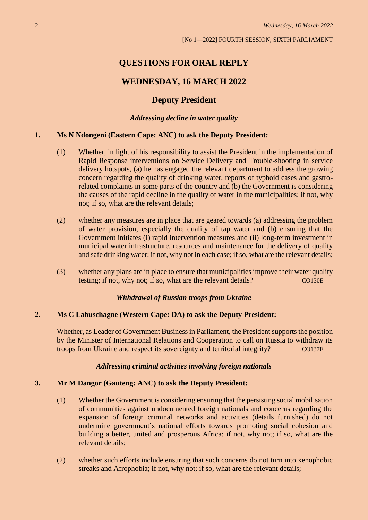# **QUESTIONS FOR ORAL REPLY**

## **WEDNESDAY, 16 MARCH 2022**

## **Deputy President**

#### *Addressing decline in water quality*

#### **1. Ms N Ndongeni (Eastern Cape: ANC) to ask the Deputy President:**

- (1) Whether, in light of his responsibility to assist the President in the implementation of Rapid Response interventions on Service Delivery and Trouble-shooting in service delivery hotspots, (a) he has engaged the relevant department to address the growing concern regarding the quality of drinking water, reports of typhoid cases and gastrorelated complaints in some parts of the country and (b) the Government is considering the causes of the rapid decline in the quality of water in the municipalities; if not, why not; if so, what are the relevant details;
- (2) whether any measures are in place that are geared towards (a) addressing the problem of water provision, especially the quality of tap water and (b) ensuring that the Government initiates (i) rapid intervention measures and (ii) long-term investment in municipal water infrastructure, resources and maintenance for the delivery of quality and safe drinking water; if not, why not in each case; if so, what are the relevant details;
- (3) whether any plans are in place to ensure that municipalities improve their water quality testing; if not, why not; if so, what are the relevant details? CO130E

#### *Withdrawal of Russian troops from Ukraine*

#### **2. Ms C Labuschagne (Western Cape: DA) to ask the Deputy President:**

Whether, as Leader of Government Business in Parliament, the President supports the position by the Minister of International Relations and Cooperation to call on Russia to withdraw its troops from Ukraine and respect its sovereignty and territorial integrity? CO137E

#### *Addressing criminal activities involving foreign nationals*

#### **3. Mr M Dangor (Gauteng: ANC) to ask the Deputy President:**

- (1) Whether the Government is considering ensuring that the persisting social mobilisation of communities against undocumented foreign nationals and concerns regarding the expansion of foreign criminal networks and activities (details furnished) do not undermine government's national efforts towards promoting social cohesion and building a better, united and prosperous Africa; if not, why not; if so, what are the relevant details;
- (2) whether such efforts include ensuring that such concerns do not turn into xenophobic streaks and Afrophobia; if not, why not; if so, what are the relevant details;